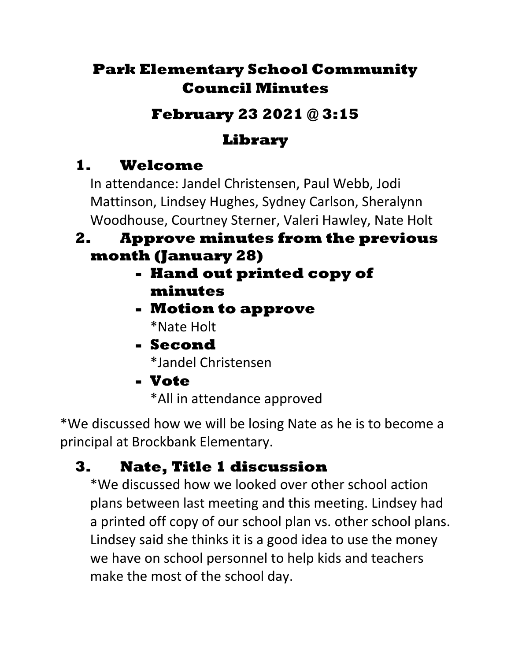## **Park Elementary School Community Council Minutes**

## **February 23 2021 @ 3:15**

# **Library**

# **1. Welcome**

In attendance: Jandel Christensen, Paul Webb, Jodi Mattinson, Lindsey Hughes, Sydney Carlson, Sheralynn Woodhouse, Courtney Sterner, Valeri Hawley, Nate Holt

#### **2. Approve minutes from the previous month (January 28)**

- **- Hand out printed copy of minutes**
- **- Motion to approve**  \*Nate Holt
- **- Second**  \*Jandel Christensen
- **- Vote**

\*All in attendance approved

\*We discussed how we will be losing Nate as he is to become a principal at Brockbank Elementary.

# **3. Nate, Title 1 discussion**

\*We discussed how we looked over other school action plans between last meeting and this meeting. Lindsey had a printed off copy of our school plan vs. other school plans. Lindsey said she thinks it is a good idea to use the money we have on school personnel to help kids and teachers make the most of the school day.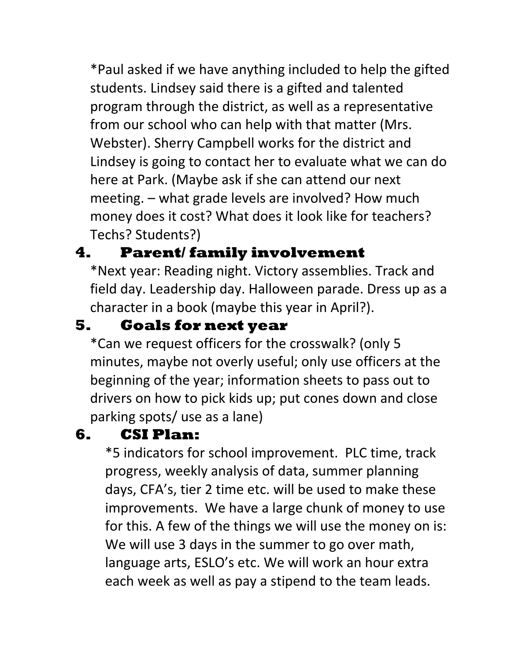\*Paul asked if we have anything included to help the gifted students. Lindsey said there is a gifted and talented program through the district, as well as a representative from our school who can help with that matter (Mrs. Webster). Sherry Campbell works for the district and Lindsey is going to contact her to evaluate what we can do here at Park. (Maybe ask if she can attend our next meeting. – what grade levels are involved? How much money does it cost? What does it look like for teachers? Techs? Students?)

## **4. Parent/ family involvement**

\*Next year: Reading night. Victory assemblies. Track and field day. Leadership day. Halloween parade. Dress up as a character in a book (maybe this year in April?).

#### **5. Goals for next year**

\*Can we request officers for the crosswalk? (only 5 minutes, maybe not overly useful; only use officers at the beginning of the year; information sheets to pass out to drivers on how to pick kids up; put cones down and close parking spots/ use as a lane)

#### **6. CSI Plan:**

\*5 indicators for school improvement. PLC time, track progress, weekly analysis of data, summer planning days, CFA's, tier 2 time etc. will be used to make these improvements. We have a large chunk of money to use for this. A few of the things we will use the money on is: We will use 3 days in the summer to go over math, language arts, ESLO's etc. We will work an hour extra each week as well as pay a stipend to the team leads.